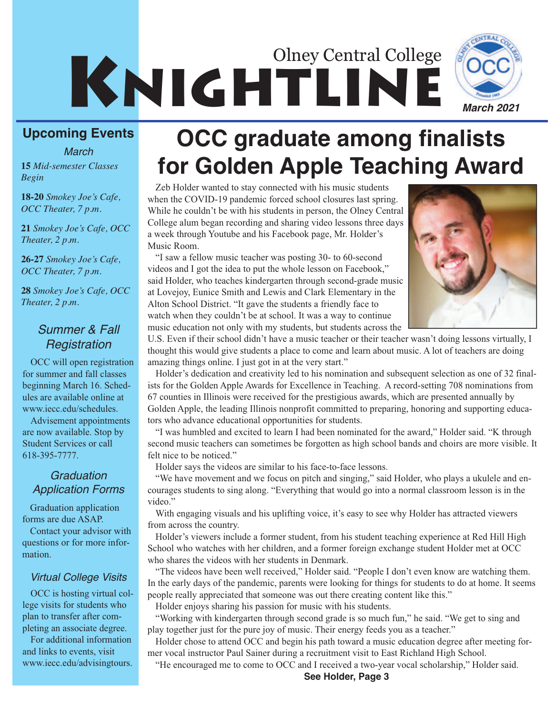# KNIGHTLINE Olney Central College *March 2021*

### **Upcoming Events**

*March*

**18-20** *Smokey Joe's Cafe, OCC Theater, 7 p.m.*

**21** *Smokey Joe's Cafe, OCC Theater, 2 p.m.*

**26-27** *Smokey Joe's Cafe, OCC Theater, 7 p.m.*

**28** *Smokey Joe's Cafe, OCC Theater, 2 p.m.*

### *Summer & Fall Registration*

OCC will open registration for summer and fall classes beginning March 16. Schedules are available online at www.iecc.edu/schedules.

Advisement appointments are now available. Stop by Student Services or call 618-395-7777.

### *Graduation Application Forms*

Graduation application forms are due ASAP.

Contact your advisor with questions or for more information.

### *Virtual College Visits*

OCC is hosting virtual college visits for students who plan to transfer after completing an associate degree.

For additional information and links to events, visit www.iecc.edu/advisingtours.

# **OCC graduate among finalists <sup>15</sup>** *Mid-semester Classes* **for Golden Apple Teaching Award** *Begin*

Zeb Holder wanted to stay connected with his music students when the COVID-19 pandemic forced school closures last spring. While he couldn't be with his students in person, the Olney Central College alum began recording and sharing video lessons three days a week through Youtube and his Facebook page, Mr. Holder's Music Room.

"I saw a fellow music teacher was posting 30- to 60-second videos and I got the idea to put the whole lesson on Facebook," said Holder, who teaches kindergarten through second-grade music at Lovejoy, Eunice Smith and Lewis and Clark Elementary in the Alton School District. "It gave the students a friendly face to watch when they couldn't be at school. It was a way to continue music education not only with my students, but students across the



U.S. Even if their school didn't have a music teacher or their teacher wasn't doing lessons virtually, I thought this would give students a place to come and learn about music. A lot of teachers are doing amazing things online. I just got in at the very start."

Holder's dedication and creativity led to his nomination and subsequent selection as one of 32 finalists for the Golden Apple Awards for Excellence in Teaching. A record-setting 708 nominations from 67 counties in Illinois were received for the prestigious awards, which are presented annually by Golden Apple, the leading Illinois nonprofit committed to preparing, honoring and supporting educators who advance educational opportunities for students.

"I was humbled and excited to learn I had been nominated for the award," Holder said. "K through second music teachers can sometimes be forgotten as high school bands and choirs are more visible. It felt nice to be noticed."

Holder says the videos are similar to his face-to-face lessons.

"We have movement and we focus on pitch and singing," said Holder, who plays a ukulele and encourages students to sing along. "Everything that would go into a normal classroom lesson is in the video."

With engaging visuals and his uplifting voice, it's easy to see why Holder has attracted viewers from across the country.

Holder's viewers include a former student, from his student teaching experience at Red Hill High School who watches with her children, and a former foreign exchange student Holder met at OCC who shares the videos with her students in Denmark.

"The videos have been well received," Holder said. "People I don't even know are watching them. In the early days of the pandemic, parents were looking for things for students to do at home. It seems people really appreciated that someone was out there creating content like this."

Holder enjoys sharing his passion for music with his students.

"Working with kindergarten through second grade is so much fun," he said. "We get to sing and play together just for the pure joy of music. Their energy feeds you as a teacher."

Holder chose to attend OCC and begin his path toward a music education degree after meeting former vocal instructor Paul Sainer during a recruitment visit to East Richland High School.

"He encouraged me to come to OCC and I received a two-year vocal scholarship," Holder said.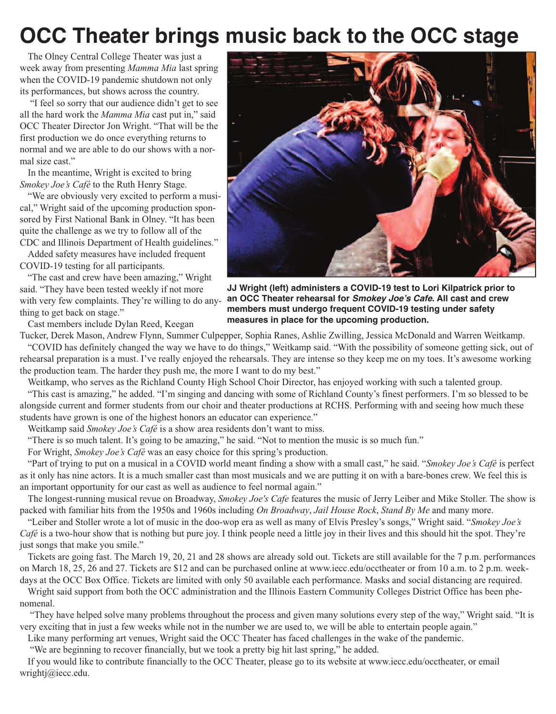## **OCC Theater brings music back to the OCC stage**

The Olney Central College Theater was just a week away from presenting *Mamma Mia* last spring when the COVID-19 pandemic shutdown not only its performances, but shows across the country.

"I feel so sorry that our audience didn't get to see all the hard work the *Mamma Mia* cast put in," said OCC Theater Director Jon Wright. "That will be the first production we do once everything returns to normal and we are able to do our shows with a normal size cast."

In the meantime, Wright is excited to bring *Smokey Joe's Café* to the Ruth Henry Stage.

"We are obviously very excited to perform a musical," Wright said of the upcoming production sponsored by First National Bank in Olney. "It has been quite the challenge as we try to follow all of the CDC and Illinois Department of Health guidelines."

Added safety measures have included frequent COVID-19 testing for all participants.

"The cast and crew have been amazing," Wright said. "They have been tested weekly if not more with very few complaints. They're willing to do anything to get back on stage."

Cast members include Dylan Reed, Keegan



**JJ Wright (left) administers a COVID-19 test to Lori Kilpatrick prior to an OCC Theater rehearsal for** *Smokey Joe's Cafe***. All cast and crew members must undergo frequent COVID-19 testing under safety measures in place for the upcoming production.**

Tucker, Derek Mason, Andrew Flynn, Summer Culpepper, Sophia Ranes, Ashlie Zwilling, Jessica McDonald and Warren Weitkamp. "COVID has definitely changed the way we have to do things," Weitkamp said. "With the possibility of someone getting sick, out of rehearsal preparation is a must. I've really enjoyed the rehearsals. They are intense so they keep me on my toes. It's awesome working the production team. The harder they push me, the more I want to do my best."

Weitkamp, who serves as the Richland County High School Choir Director, has enjoyed working with such a talented group. "This cast is amazing," he added. "I'm singing and dancing with some of Richland County's finest performers. I'm so blessed to be alongside current and former students from our choir and theater productions at RCHS. Performing with and seeing how much these students have grown is one of the highest honors an educator can experience."

Weitkamp said *Smokey Joe's Café* is a show area residents don't want to miss.

"There is so much talent. It's going to be amazing," he said. "Not to mention the music is so much fun."

For Wright, *Smokey Joe's Café* was an easy choice for this spring's production.

"Part of trying to put on a musical in a COVID world meant finding a show with a small cast," he said. "*Smokey Joe's Café* is perfect as it only has nine actors. It is a much smaller cast than most musicals and we are putting it on with a bare-bones crew. We feel this is an important opportunity for our cast as well as audience to feel normal again."

The longest-running musical revue on Broadway, *Smokey Joe's Cafe* features the music of Jerry Leiber and Mike Stoller. The show is packed with familiar hits from the 1950s and 1960s including *On Broadway*, *Jail House Rock*, *Stand By Me* and many more.

"Leiber and Stoller wrote a lot of music in the doo-wop era as well as many of Elvis Presley's songs," Wright said. "*Smokey Joe's Café* is a two-hour show that is nothing but pure joy. I think people need a little joy in their lives and this should hit the spot. They're just songs that make you smile."

Tickets are going fast. The March 19, 20, 21 and 28 shows are already sold out. Tickets are still available for the 7 p.m. performances on March 18, 25, 26 and 27. Tickets are \$12 and can be purchased online at www.iecc.edu/occtheater or from 10 a.m. to 2 p.m. weekdays at the OCC Box Office. Tickets are limited with only 50 available each performance. Masks and social distancing are required.

Wright said support from both the OCC administration and the Illinois Eastern Community Colleges District Office has been phenomenal.

"They have helped solve many problems throughout the process and given many solutions every step of the way," Wright said. "It is very exciting that in just a few weeks while not in the number we are used to, we will be able to entertain people again."

Like many performing art venues, Wright said the OCC Theater has faced challenges in the wake of the pandemic.

"We are beginning to recover financially, but we took a pretty big hit last spring," he added.

If you would like to contribute financially to the OCC Theater, please go to its website at www.iecc.edu/occtheater, or email wrightj@iecc.edu.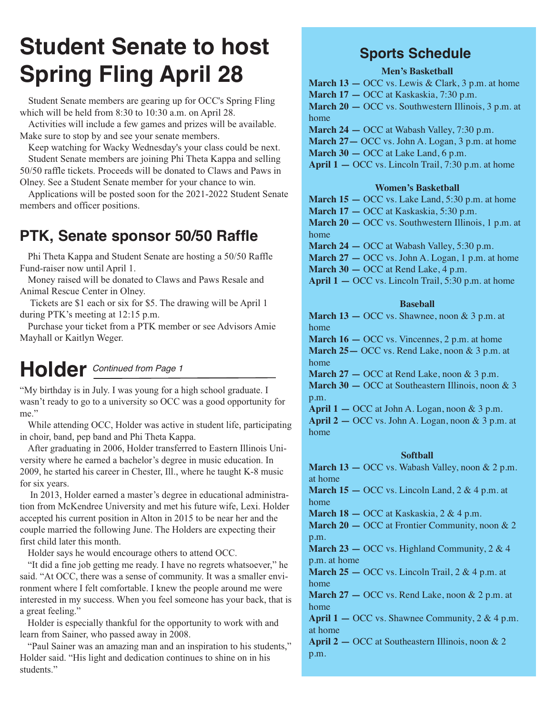# **Student Senate to host Spring Fling April 28**

Student Senate members are gearing up for OCC's Spring Fling which will be held from 8:30 to 10:30 a.m. on April 28.

Activities will include a few games and prizes will be available. Make sure to stop by and see your senate members.

Keep watching for Wacky Wednesday's your class could be next. Student Senate members are joining Phi Theta Kappa and selling 50/50 raffle tickets. Proceeds will be donated to Claws and Paws in Olney. See a Student Senate member for your chance to win.

Applications will be posted soon for the 2021-2022 Student Senate members and officer positions.

## **PTK, Senate sponsor 50/50 Raffle**

Phi Theta Kappa and Student Senate are hosting a 50/50 Raffle Fund-raiser now until April 1.

Money raised will be donated to Claws and Paws Resale and Animal Rescue Center in Olney.

Tickets are \$1 each or six for \$5. The drawing will be April 1 during PTK's meeting at 12:15 p.m.

Purchase your ticket from a PTK member or see Advisors Amie Mayhall or Kaitlyn Weger.

## **Holder** *Continued from Page 1*

"My birthday is in July. I was young for a high school graduate. I wasn't ready to go to a university so OCC was a good opportunity for me."

While attending OCC, Holder was active in student life, participating in choir, band, pep band and Phi Theta Kappa.

After graduating in 2006, Holder transferred to Eastern Illinois University where he earned a bachelor's degree in music education. In 2009, he started his career in Chester, Ill., where he taught K-8 music for six years.

In 2013, Holder earned a master's degree in educational administration from McKendree University and met his future wife, Lexi. Holder accepted his current position in Alton in 2015 to be near her and the couple married the following June. The Holders are expecting their first child later this month.

Holder says he would encourage others to attend OCC.

"It did a fine job getting me ready. I have no regrets whatsoever," he said. "At OCC, there was a sense of community. It was a smaller environment where I felt comfortable. I knew the people around me were interested in my success. When you feel someone has your back, that is a great feeling."

Holder is especially thankful for the opportunity to work with and learn from Sainer, who passed away in 2008.

"Paul Sainer was an amazing man and an inspiration to his students," Holder said. "His light and dedication continues to shine on in his students."

### **Sports Schedule**

### **Men's Basketball**

**March 13 —** OCC vs. Lewis & Clark, 3 p.m. at home

**March 17 —** OCC at Kaskaskia, 7:30 p.m.

**March 20 —** OCC vs. Southwestern Illinois, 3 p.m. at home

**March 24 —** OCC at Wabash Valley, 7:30 p.m.

March 27 – OCC vs. John A. Logan, 3 p.m. at home

**March 30 —** OCC at Lake Land, 6 p.m.

**April 1 —** OCC vs. Lincoln Trail, 7:30 p.m. at home

#### **Women's Basketball**

**March 15 —** OCC vs. Lake Land, 5:30 p.m. at home **March 17 —** OCC at Kaskaskia, 5:30 p.m.

**March 20 —** OCC vs. Southwestern Illinois, 1 p.m. at home

**March 24 —** OCC at Wabash Valley, 5:30 p.m.

**March 27 —** OCC vs. John A. Logan, 1 p.m. at home **March 30 —** OCC at Rend Lake, 4 p.m.

**April 1 —** OCC vs. Lincoln Trail, 5:30 p.m. at home

#### **Baseball**

**March 13 —** OCC vs. Shawnee, noon & 3 p.m. at home

**March 16 —** OCC vs. Vincennes, 2 p.m. at home **March 25—** OCC vs. Rend Lake, noon & 3 p.m. at home

**March 27 —** OCC at Rend Lake, noon & 3 p.m. **March 30 —** OCC at Southeastern Illinois, noon & 3

p.m. **April 1 —** OCC at John A. Logan, noon & 3 p.m.

**April 2 —** OCC vs. John A. Logan, noon & 3 p.m. at home

#### **Softball**

**March 13 —** OCC vs. Wabash Valley, noon & 2 p.m. at home

**March 15 —** OCC vs. Lincoln Land, 2 & 4 p.m. at home

**March 18 —** OCC at Kaskaskia, 2 & 4 p.m.

**March 20 —** OCC at Frontier Community, noon & 2 p.m.

**March 23 – OCC** vs. Highland Community, 2 & 4 p.m. at home

**March 25 —** OCC vs. Lincoln Trail, 2 & 4 p.m. at home

**March 27 —** OCC vs. Rend Lake, noon & 2 p.m. at home

**April 1 —** OCC vs. Shawnee Community, 2 & 4 p.m. at home

**April 2 —** OCC at Southeastern Illinois, noon & 2 p.m.